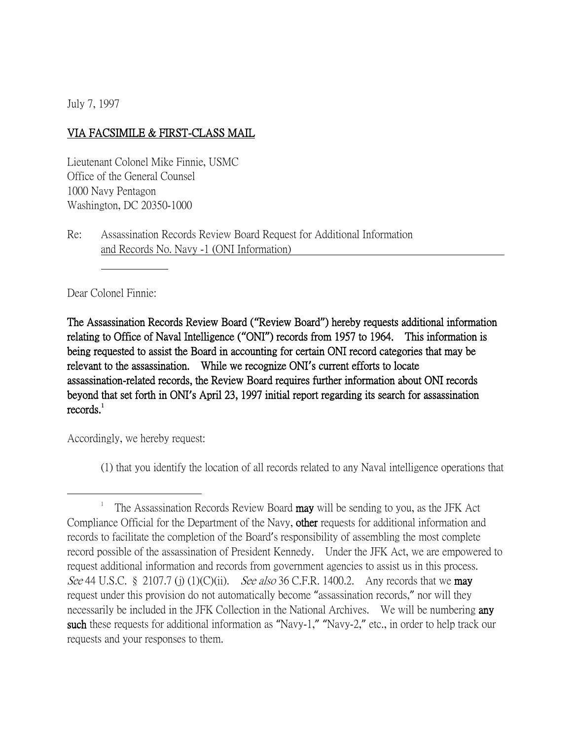July 7, 1997

## VIA FACSIMILE & FIRST-CLASS MAIL

Lieutenant Colonel Mike Finnie, USMC Office of the General Counsel 1000 Navy Pentagon Washington, DC 20350-1000

Re: Assassination Records Review Board Request for Additional Information and Records No. Navy -1 (ONI Information)

Dear Colonel Finnie:

The Assassination Records Review Board (**"**Review Board**"**) hereby requests additional information relating to Office of Naval Intelligence (**"**ONI**"**) records from 1957 to 1964. This information is being requested to assist the Board in accounting for certain ONI record categories that may be relevant to the assassination. While we recognize ONI**'**s current efforts to locate assassination-related records, the Review Board requires further information about ONI records beyond that set forth in ONI**'**s April 23, 1997 initial report regarding its search for assassination  $records.<sup>1</sup>$ 

Accordingly, we hereby request:

 $\overline{a}$ 

(1) that you identify the location of all records related to any Naval intelligence operations that

<sup>1</sup> The Assassination Records Review Board may will be sending to you, as the JFK Act Compliance Official for the Department of the Navy, other requests for additional information and records to facilitate the completion of the Board's responsibility of assembling the most complete record possible of the assassination of President Kennedy. Under the JFK Act, we are empowered to request additional information and records from government agencies to assist us in this process. See 44 U.S.C. § 2107.7 (j) (1)(C)(ii). See also 36 C.F.R. 1400.2. Any records that we **may** request under this provision do not automatically become "assassination records," nor will they necessarily be included in the JFK Collection in the National Archives. We will be numbering any such these requests for additional information as "Navy-1," "Navy-2," etc., in order to help track our requests and your responses to them.